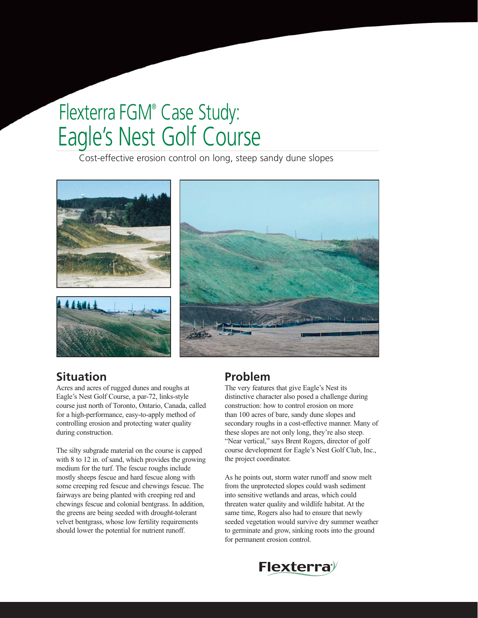# Eagle's Nest Golf Course Flexterra FGM® Case Study:

Cost-effective erosion control on long, steep sandy dune slopes



# **Situation**

Acres and acres of rugged dunes and roughs at Eagle's Nest Golf Course, a par-72, links-style course just north of Toronto, Ontario, Canada, called for a high-performance, easy-to-apply method of controlling erosion and protecting water quality during construction.

The silty subgrade material on the course is capped with 8 to 12 in. of sand, which provides the growing medium for the turf. The fescue roughs include mostly sheeps fescue and hard fescue along with some creeping red fescue and chewings fescue. The fairways are being planted with creeping red and chewings fescue and colonial bentgrass. In addition, the greens are being seeded with drought-tolerant velvet bentgrass, whose low fertility requirements should lower the potential for nutrient runoff.

# **Problem**

The very features that give Eagle's Nest its distinctive character also posed a challenge during construction: how to control erosion on more than 100 acres of bare, sandy dune slopes and secondary roughs in a cost-effective manner. Many of these slopes are not only long, they're also steep. "Near vertical," says Brent Rogers, director of golf course development for Eagle's Nest Golf Club, Inc., the project coordinator.

As he points out, storm water runoff and snow melt from the unprotected slopes could wash sediment into sensitive wetlands and areas, which could threaten water quality and wildlife habitat. At the same time, Rogers also had to ensure that newly seeded vegetation would survive dry summer weather to germinate and grow, sinking roots into the ground for permanent erosion control.